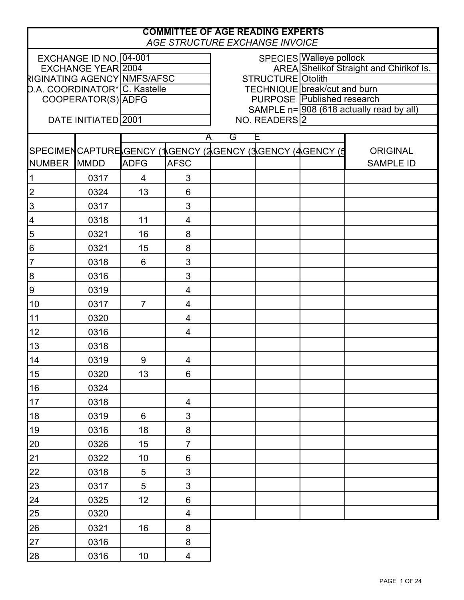|                               | <b>COMMITTEE OF AGE READING EXPERTS</b><br>AGE STRUCTURE EXCHANGE INVOICE |                 |                |        |                          |                                                          |                                             |
|-------------------------------|---------------------------------------------------------------------------|-----------------|----------------|--------|--------------------------|----------------------------------------------------------|---------------------------------------------|
|                               | EXCHANGE ID NO. 04-001                                                    |                 |                |        |                          | SPECIES Walleye pollock                                  |                                             |
|                               | EXCHANGE YEAR 2004                                                        |                 |                |        |                          |                                                          | AREA Shelikof Straight and Chirikof Is.     |
| RIGINATING AGENCY NMFS/AFSC   |                                                                           |                 |                |        | <b>STRUCTURE</b> Otolith |                                                          |                                             |
| D.A. COORDINATOR* C. Kastelle |                                                                           |                 |                |        |                          | TECHNIQUE break/cut and burn                             |                                             |
|                               | COOPERATOR(S) ADFG                                                        |                 |                |        |                          | <b>PURPOSE</b> Published research                        |                                             |
|                               | DATE INITIATED 2001                                                       |                 |                |        | NO. READERS <sup>2</sup> |                                                          | SAMPLE $n = 908$ (618 actually read by all) |
|                               |                                                                           |                 |                |        |                          |                                                          |                                             |
|                               |                                                                           |                 |                | G<br>Α | Ε                        | SPECIMENCAPTURE GENCY (1GENCY (2GENCY (3GENCY (4GENCY (5 | <b>ORIGINAL</b>                             |
| <b>NUMBER</b>                 | <b>MMDD</b>                                                               | <b>ADFG</b>     | <b>AFSC</b>    |        |                          |                                                          | <b>SAMPLE ID</b>                            |
|                               | 0317                                                                      | 4               | 3              |        |                          |                                                          |                                             |
| $\overline{2}$                | 0324                                                                      | 13              | 6              |        |                          |                                                          |                                             |
| 3                             | 0317                                                                      |                 | 3              |        |                          |                                                          |                                             |
| 4                             | 0318                                                                      | 11              | 4              |        |                          |                                                          |                                             |
| 5                             | 0321                                                                      | 16              | 8              |        |                          |                                                          |                                             |
| $\,6$                         | 0321                                                                      | 15              | 8              |        |                          |                                                          |                                             |
| $\overline{7}$                | 0318                                                                      | 6               | 3              |        |                          |                                                          |                                             |
| $\boldsymbol{8}$              | 0316                                                                      |                 | 3              |        |                          |                                                          |                                             |
| 9                             | 0319                                                                      |                 | 4              |        |                          |                                                          |                                             |
| 10                            | 0317                                                                      | $\overline{7}$  | 4              |        |                          |                                                          |                                             |
| 11                            | 0320                                                                      |                 | 4              |        |                          |                                                          |                                             |
| 12                            | 0316                                                                      |                 | 4              |        |                          |                                                          |                                             |
| 13                            | 0318                                                                      |                 |                |        |                          |                                                          |                                             |
| 14                            | 0319                                                                      | 9               | 4              |        |                          |                                                          |                                             |
| 15                            | 0320                                                                      | 13              | 6              |        |                          |                                                          |                                             |
| 16                            | 0324                                                                      |                 |                |        |                          |                                                          |                                             |
| 17                            | 0318                                                                      |                 | 4              |        |                          |                                                          |                                             |
| 18                            | 0319                                                                      | 6               | 3              |        |                          |                                                          |                                             |
| 19                            | 0316                                                                      | 18              | 8              |        |                          |                                                          |                                             |
| 20                            | 0326                                                                      | 15              | $\overline{7}$ |        |                          |                                                          |                                             |
| 21                            | 0322                                                                      | 10              | $\,6$          |        |                          |                                                          |                                             |
| 22                            | 0318                                                                      | 5               | 3              |        |                          |                                                          |                                             |
| 23                            | 0317                                                                      | 5               | $\mathfrak{S}$ |        |                          |                                                          |                                             |
| 24                            | 0325                                                                      | 12 <sub>2</sub> | 6              |        |                          |                                                          |                                             |
| 25                            | 0320                                                                      |                 | 4              |        |                          |                                                          |                                             |
| 26                            | 0321                                                                      | 16              | 8              |        |                          |                                                          |                                             |
| 27                            | 0316                                                                      |                 | 8              |        |                          |                                                          |                                             |
| 28                            | 0316                                                                      | 10 <sub>1</sub> | 4              |        |                          |                                                          |                                             |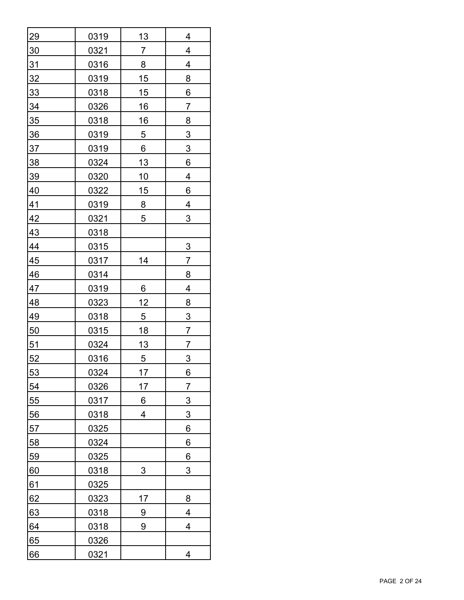| <u>29</u>       | 0319        | <u> 13</u>     | 4               |
|-----------------|-------------|----------------|-----------------|
| <u>30</u>       | <u>0321</u> | $\overline{7}$ | 4               |
| 31              | 0316        | 8              | 4               |
| <u>32</u>       | <u>0319</u> | 15             | 8               |
| <u>33</u>       | 0318        | <u> 15</u>     | 6               |
| <u>34</u>       | 0326        | <u>16</u>      | $\overline{7}$  |
| $\frac{35}{5}$  | 0318        | 16             | 8               |
| $\frac{36}{5}$  | 0319        | $\overline{5}$ | $\overline{3}$  |
| $\overline{37}$ | <u>0319</u> | 6              | $\overline{3}$  |
| 38              | 0324        | 13             | 6               |
| <u>39</u>       | 0320        | <u>10</u>      | 4               |
| 40              | 0322        | 15             | 6               |
| 41              | <u>0319</u> | $8\phantom{1}$ | $\overline{4}$  |
| 42              | 0321        | 5              | $\sqrt{3}$      |
| 43              | 0318        |                |                 |
| 44              | 0315        |                | <u>3</u>        |
| 45              | 0317        | 14             | $\overline{7}$  |
| 46              | 0314        |                | $\overline{8}$  |
| 47              | 0319        | 6              | 4               |
| 48              | 0323        | 12             | $\overline{8}$  |
| 49              | 0318        | 5              | $\overline{3}$  |
| 50              | 0315        | <u>18</u>      | $\overline{7}$  |
| 51              | 0324        | <u>13</u>      | 7               |
| 52              | 0316        | 5              | 3               |
| <u>53</u>       | <u>0324</u> | <u> 17</u>     | $6 \overline{}$ |
| 54              | 0326        | 17             | $\overline{7}$  |
| 55              | 0317        | 6              | $\overline{3}$  |
| 56              | 0318        | 4              | 3               |
| 57              | 0325        |                | 6               |
| 58              | 0324        |                | 6               |
| <u>59</u>       | 0325        |                | 6               |
| 60              | 0318        | 3              | 3               |
| 61              | 0325        |                |                 |
| 62              | 0323        | 17             | 8               |
| 63              | 0318        | 9              | 4               |
| 64              | 0318        | 9              | 4               |
| 65              | 0326        |                |                 |
| 66              | 0321        |                | 4               |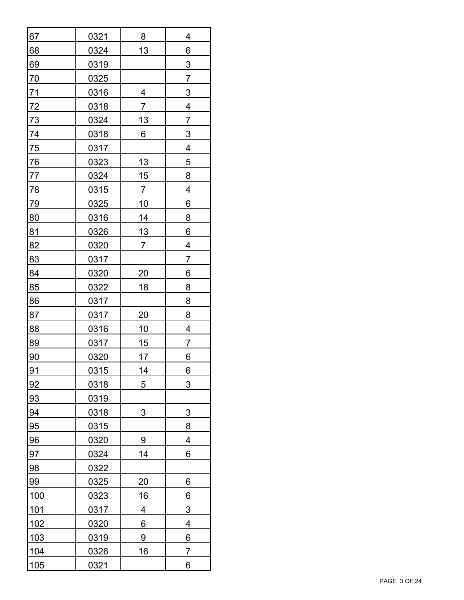| 67              | 0321        | 8              | 4              |
|-----------------|-------------|----------------|----------------|
| 68              | 0324        | 13             | 6              |
| 69              | 0319        |                | 3              |
| $\overline{70}$ | 0325        |                | $\overline{7}$ |
| $\frac{71}{2}$  | 0316        | 4              | $\overline{3}$ |
| <u>72</u>       | 0318        | $\overline{7}$ | 4              |
| <u>73</u>       | 0324        | <u>13</u>      | $\overline{7}$ |
| 74              | 0318        | 6              | $\overline{3}$ |
| $\overline{75}$ | 0317        |                | 4              |
| $\overline{76}$ | 0323        | <u>13</u>      | 5              |
| 77              | 0324        | 15             | 8              |
| 78              | 0315        | 7              | 4              |
| <u>79</u>       | 0325        | <u>10</u>      | 6              |
| 80              | 0316        | 14             | 8              |
| <u>81</u>       | 0326        | <u>13</u>      | 6              |
| 82              | 0320        | $\overline{7}$ | 4              |
| 83              | 0317        |                | 7              |
| 84              | 0320        | 20             | 6              |
| 85              | 0322        | 18             | 8              |
| 86              | 0317        |                | 8              |
| 87              | 0317        | 20             | 8              |
| 88              | 0316        | <u>10</u>      | 4              |
| 89              | 0317        | 15             | $\overline{7}$ |
| 90              | 0320        | 17             | 6              |
| 91              | 0315        | 14             | 6              |
| 92              | 0318        | 5              | 3              |
| <u>93</u>       | <u>0319</u> |                |                |
| 94              | 0318        | 3              | 3              |
| $\frac{95}{5}$  | <u>0315</u> |                | 8              |
| 96              | 0320        | 9              | 4              |
| <u>97</u>       | 0324        | 14             | 6              |
| <u>98</u>       | 0322        |                |                |
| 99              | 0325        | <u>20</u>      | 6              |
| <b>100</b>      | 0323        | <u>16</u>      | 6              |
| <u>101</u>      | 0317        | 4              | 3              |
| 102             | 0320        | 6              | 4              |
| <u>103</u>      | <u>0319</u> | 9              | 6              |
| 104             | 0326        | 16             | $\overline{7}$ |
| 105             | 0321        |                | 6              |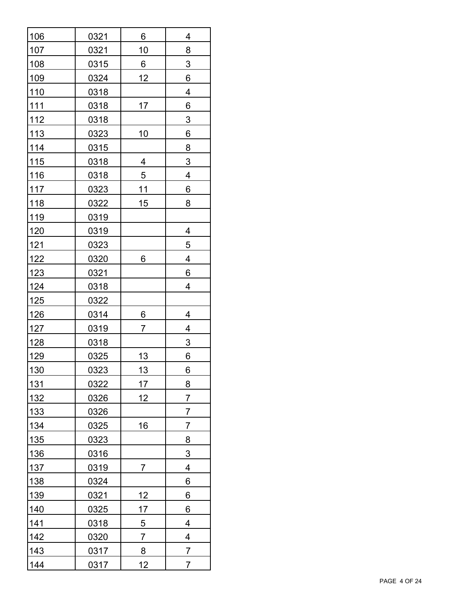| 106        | 0321 | 6              | 4                       |
|------------|------|----------------|-------------------------|
| 107        | 0321 | 10             | 8                       |
| 108        | 0315 | 6              | 3                       |
| <u>109</u> | 0324 | 12             | 6                       |
| 110        | 0318 |                | 4                       |
| 111        | 0318 | 17             | 6                       |
| $112$      | 0318 |                | $\overline{3}$          |
| <u>113</u> | 0323 | 10             | 6                       |
| 114        | 0315 |                | 8                       |
| <u>115</u> | 0318 | 4              | 3                       |
| <u>116</u> | 0318 | 5              | $\overline{\mathbf{4}}$ |
| $117$      | 0323 | 11             | 6                       |
| <u>118</u> | 0322 | 15             | 8                       |
| 119        | 0319 |                |                         |
| <u>120</u> | 0319 |                | 4                       |
| 121        | 0323 |                | 5                       |
| 122        | 0320 | 6              | 4                       |
| <u>123</u> | 0321 |                | 6                       |
| 124        | 0318 |                | 4                       |
| 125        | 0322 |                |                         |
| 126        | 0314 | 6              | 4                       |
| 127        | 0319 | 7              | 4                       |
| <u>128</u> | 0318 |                | $\overline{3}$          |
| 129        | 0325 | 13             | 6                       |
| <u>130</u> | 0323 | <u>13</u>      | 6                       |
| 131        | 0322 | 17             | 8                       |
| 132        | 0326 | 12             | $\overline{7}$          |
| 133        | 0326 |                | 7                       |
| 134        | 0325 | 16             | 7                       |
| 135        | 0323 |                | 8                       |
| <u>136</u> | 0316 |                | 3                       |
| 137        | 0319 | 7              | 4                       |
| 138        | 0324 |                | 6                       |
| <u>139</u> | 0321 | <u> 12</u>     | 6                       |
| 140        | 0325 | 17             | 6                       |
| 141        | 0318 | $\overline{5}$ | 4                       |
| 142        | 0320 | $\overline{7}$ | 4                       |
| 143        | 0317 | $8\phantom{1}$ | $\overline{7}$          |
| 144        | 0317 | 12             | $\overline{7}$          |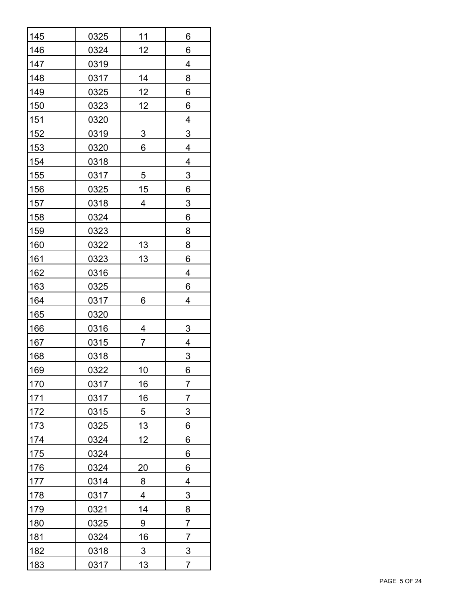| 145        | 0325        | 11              | 6               |
|------------|-------------|-----------------|-----------------|
| 146        | 0324        | 12              | 6               |
| 147        | 0319        |                 | 4               |
| 148        | 0317        | <u>14</u>       | 8               |
| 149        | 0325        | <u>12</u>       | 6               |
| 150        | 0323        | 12              | 6               |
| 151        | 0320        |                 | 4               |
| <u>152</u> | 0319        | $\overline{3}$  | $\overline{3}$  |
| 153        | 0320        | 6               | 4               |
| 154        | 0318        |                 | 4               |
| <u>155</u> | 0317        | 5               | 3               |
| 156        | 0325        | 15              | 6               |
| 157        | 0318        | 4               | $\overline{3}$  |
| <u>158</u> | 0324        |                 | 6               |
| <u>159</u> | 0323        |                 | 8               |
| <u>160</u> | 0322        | <u> 13</u>      | 8               |
| <u>161</u> | 0323        | <u>13</u>       | 6               |
| <u>162</u> | 0316        |                 | 4               |
| 163        | 0325        |                 | 6               |
| 164        | 0317        | 6               | 4               |
| <u>165</u> | 0320        |                 |                 |
| <u>166</u> | 0316        | 4               | 3               |
| 167        | 0315        | 7               | 4               |
| <b>168</b> | <u>0318</u> |                 | 3               |
| <u>169</u> | 0322        | <u>10</u>       | $6 \overline{}$ |
| <u>170</u> | 0317        | 16              | $\overline{7}$  |
| 171        | 0317        | 16              | 7               |
| 172        | 0315        | 5               | 3               |
| 173        | 0325        | 13              | 6               |
| 174        | 0324        | 12              | 6               |
| 175        | 0324        |                 | 6               |
| 176        | 0324        | $\overline{20}$ | 6               |
| <u>177</u> | 0314        | $8\phantom{1}$  | 4               |
| 178        | 0317        | 4               | $\overline{3}$  |
| 179        | 0321        | 14              | 8               |
| 180        | 0325        | 9               | $\overline{7}$  |
| <u>181</u> | 0324        | 16              | $\overline{7}$  |
| 182        | 0318        | $\overline{3}$  | $\overline{3}$  |
| 183        | 0317        | 13              | $\overline{7}$  |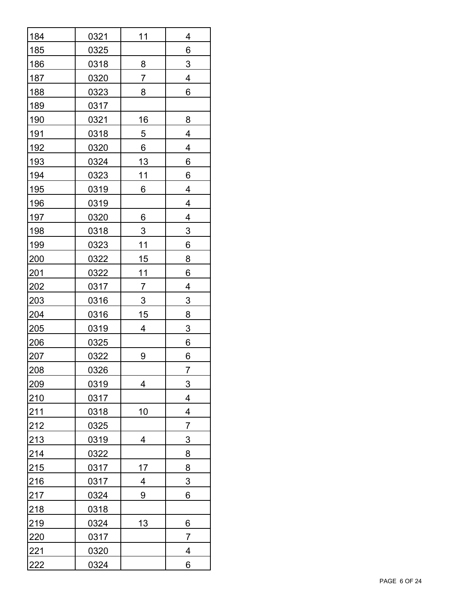| 184        | 0321        | 11              | 4              |
|------------|-------------|-----------------|----------------|
| 185        | 0325        |                 | 6              |
| 186        | 0318        | 8               | 3              |
| 187        | 0320        | 7               | 4              |
| 188        | 0323        | 8               | 6              |
| 189        | 0317        |                 |                |
| <u>190</u> | 0321        | <u>16</u>       | 8              |
| <u>191</u> | 0318        | $\overline{5}$  | 4              |
| 192        | 0320        | $6 \overline{}$ | 4              |
| <u>193</u> | 0324        | <u>13</u>       | 6              |
| 194        | 0323        | 11              | 6              |
| <u>195</u> | 0319        | 6               | 4              |
| <u>196</u> | <u>0319</u> |                 | 4              |
| 197        | 0320        | 6               | 4              |
| <u>198</u> | 0318        | $\overline{3}$  | $\overline{3}$ |
| <u>199</u> | 0323        | 11              | 6              |
| <u>200</u> | 0322        | 15              | 8              |
| <u>201</u> | 0322        | <u>11</u>       | 6              |
| <u>202</u> | 0317        | $\overline{7}$  | 4              |
| <u>203</u> | 0316        | $\overline{3}$  | $\overline{3}$ |
| <u>204</u> | 0316        | 15              | 8              |
| 205        | <u>0319</u> | 4               | $\overline{3}$ |
| <u>206</u> | 0325        |                 | 6              |
| 207        | 0322        | 9               | 6              |
| <u>208</u> | 0326        |                 | $\overline{7}$ |
| 209        | 0319        | 4               | 3              |
| 210        | 0317        |                 | 4              |
| 211        | 0318        | 10              | 4              |
| 212        | 0325        |                 | $\overline{7}$ |
| 213        | 0319        | 4               | 3              |
| 214        | 0322        |                 | 8              |
| 215        | 0317        | 17              | 8              |
| 216        | 0317        | $\overline{4}$  | $\overline{3}$ |
| 217        | 0324        | 9               | 6              |
| 218        | 0318        |                 |                |
| 219        | 0324        | 13              | 6              |
| 220        | 0317        |                 | 7              |
| 221        | 0320        |                 | 4              |
| 222        | 0324        |                 | 6              |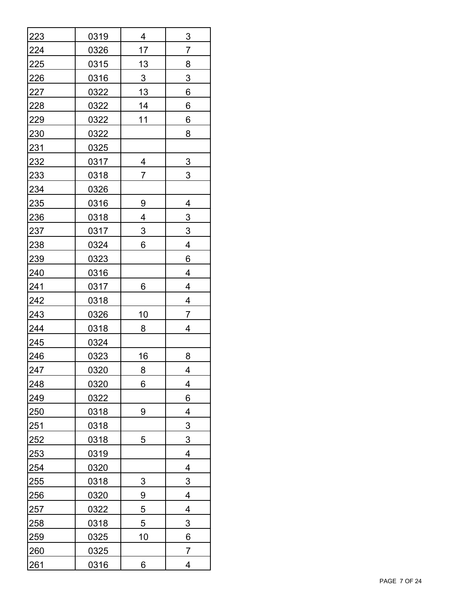| 223        | 0319 | 4              | $\overline{3}$ |
|------------|------|----------------|----------------|
| 224        | 0326 | 17             | 7              |
| 225        | 0315 | 13             | 8              |
| 226        | 0316 | $\overline{3}$ | $\mathsf 3$    |
| 227        | 0322 | 13             | 6              |
| 228        | 0322 | 14             | 6              |
| 229        | 0322 | 11             | 6              |
| 230        | 0322 |                | 8              |
| <u>231</u> | 0325 |                |                |
| <u>232</u> | 0317 | 4              | $\overline{3}$ |
| <u>233</u> | 0318 | $\overline{7}$ | 3              |
| 234        | 0326 |                |                |
| <u>235</u> | 0316 | 9              | 4              |
| 236        | 0318 | 4              | $\overline{3}$ |
| <u>237</u> | 0317 | $\overline{3}$ | $\overline{3}$ |
| 238        | 0324 | 6              | 4              |
| <u>239</u> | 0323 |                | 6              |
| 240        | 0316 |                | 4              |
| 241        | 0317 | 6              | 4              |
| 242        | 0318 |                | 4              |
| 243        | 0326 | 10             | $\overline{7}$ |
| 244        | 0318 | 8              | 4              |
| 245        | 0324 |                |                |
| 246        | 0323 | 16             | 8              |
| 247        | 0320 | 8              | 4              |
| 248        | 0320 | 6              | 4              |
| 249        | 0322 |                | 6              |
| 250        | 0318 | 9              | 4              |
| 251        | 0318 |                | 3              |
| 252        | 0318 | 5              | 3              |
| 253        | 0319 |                | 4              |
| 254        | 0320 |                | 4              |
| 255        | 0318 | $\overline{3}$ | $\overline{3}$ |
| 256        | 0320 | 9              | 4              |
| 257        | 0322 | 5              | 4              |
| 258        | 0318 | 5              | 3              |
| 259        | 0325 | <u>10</u>      | 6              |
| 260        | 0325 |                | $\overline{7}$ |
| 261        | 0316 | 6              | 4              |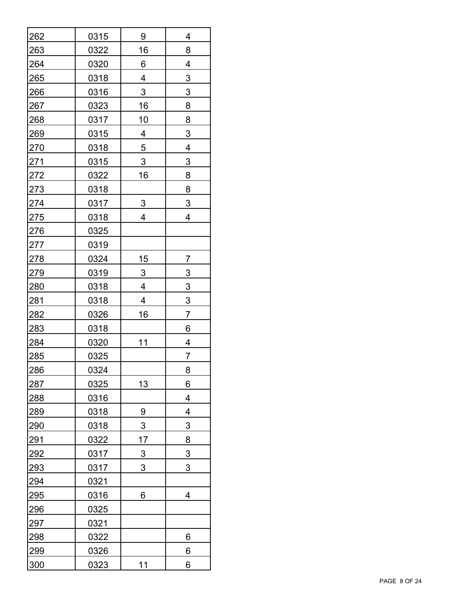| 262        | 0315        | 9              | 4              |
|------------|-------------|----------------|----------------|
| 263        | 0322        | 16             | 8              |
| 264        | 0320        | 6              | 4              |
| 265        | 0318        | 4              | $\mathfrak{S}$ |
| 266        | 0316        | 3              | 3              |
| 267        | 0323        | 16             | 8              |
| 268        | 0317        | <u>10</u>      | 8              |
| <u>269</u> | 0315        | $\overline{4}$ | $\overline{3}$ |
| 270        | 0318        | $\overline{5}$ | 4              |
| 271        | 0315        | 3              | 3              |
| <u>272</u> | 0322        | 16             | 8              |
| 273        | 0318        |                | 8              |
| 274        | 0317        | 3              | 3              |
| 275        | 0318        | 4              | 4              |
| <u>276</u> | 0325        |                |                |
| <u>277</u> | 0319        |                |                |
| <u>278</u> | 0324        | <u> 15</u>     | 7              |
| 279        | 0319        | $\overline{3}$ | $\overline{3}$ |
| <u>280</u> | 0318        | 4              | $\overline{3}$ |
| 281        | 0318        | 4              | $\overline{3}$ |
| 282        | 0326        | 16             | 7              |
| <u>283</u> | 0318        |                | 6              |
| 284        | 0320        | 11             | 4              |
| 285        | 0325        |                | 7              |
| 286        | 0324        |                | 8              |
| 287        | 0325        | 13             | 6              |
| 288        | 0316        |                | 4              |
| 289        | 0318        | 9              | 4              |
| 290        | 0318        | 3              | 3              |
| 291        | 0322        | 17             | 8              |
| 292        | 0317        | $\overline{3}$ | $\overline{3}$ |
| 293        | 0317        | 3              | 3              |
| <u>294</u> | <u>0321</u> |                |                |
| 295        | 0316        | 6              | 4              |
| <u>296</u> | 0325        |                |                |
| 297        | 0321        |                |                |
| 298        | 0322        |                | 6              |
| 299        | 0326        |                | 6              |
| 300        | 0323        | 11             | 6              |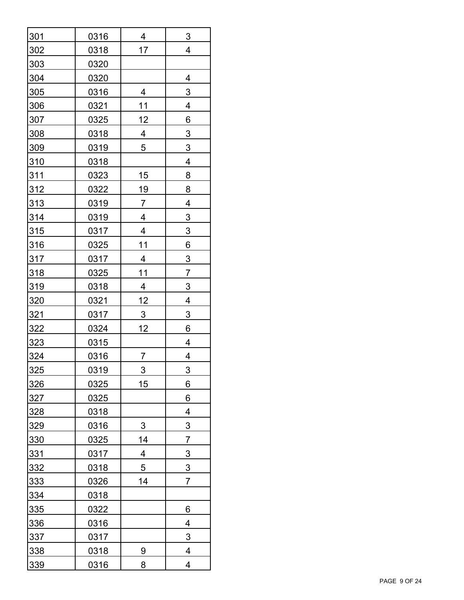| 301        | 0316        | 4                       | 3                         |
|------------|-------------|-------------------------|---------------------------|
| 302        | 0318        | 17                      | $\overline{\mathbf{4}}$   |
| 303        | 0320        |                         |                           |
| 304        | 0320        |                         | 4                         |
| 305        | 0316        | 4                       | 3                         |
| 306        | 0321        | 11                      | 4                         |
| 307        | 0325        | 12                      | $6\phantom{1}$            |
| 308        | 0318        | $\overline{4}$          | $\overline{3}$            |
| 309        | 0319        | 5                       | $\overline{3}$            |
| 310        | 0318        |                         | 4                         |
| <u>311</u> | 0323        | 15                      | 8                         |
| 312        | 0322        | <u>19</u>               | 8                         |
| <u>313</u> | <u>0319</u> | $\overline{7}$          | 4                         |
| 314        | 0319        | 4                       | $\overline{3}$            |
| <u>315</u> | 0317        | $\overline{\mathbf{4}}$ | $\overline{3}$            |
| 316        | 0325        | <u>11</u>               | $6\phantom{1}$            |
| <u>317</u> | 0317        | $\overline{4}$          | $\overline{3}$            |
| <u>318</u> | 0325        | <u>11</u>               | $\overline{7}$            |
| <u>319</u> | 0318        | $\overline{4}$          | $\overline{3}$            |
| 320        | 0321        | 12                      | 4                         |
| <u>321</u> | 0317        | $\overline{3}$          | $\ensuremath{\mathsf{3}}$ |
| 322        | 0324        | 12                      | 6                         |
| 323        | 0315        |                         | 4                         |
| 324        | 0316        | $\overline{7}$          | 4                         |
| <u>325</u> | 0319        | 3                       | 3                         |
| 326        | 0325        | 15                      | 6                         |
| 327        | 0325        |                         | 6                         |
| 328        | 0318        |                         | 4                         |
| 329        | 0316        | 3                       | 3                         |
| 330        | 0325        | 14                      | 7                         |
| 331        | 0317        | 4                       | $\overline{3}$            |
| 332        | 0318        | 5                       | $\overline{3}$            |
| 333        | 0326        | 14                      | $\overline{7}$            |
| 334        | 0318        |                         |                           |
| <u>335</u> | 0322        |                         | 6                         |
| 336        | 0316        |                         | 4                         |
| 337        | 0317        |                         | 3                         |
| 338        | 0318        | 9                       | 4                         |
| 339        | 0316        | 8                       | 4                         |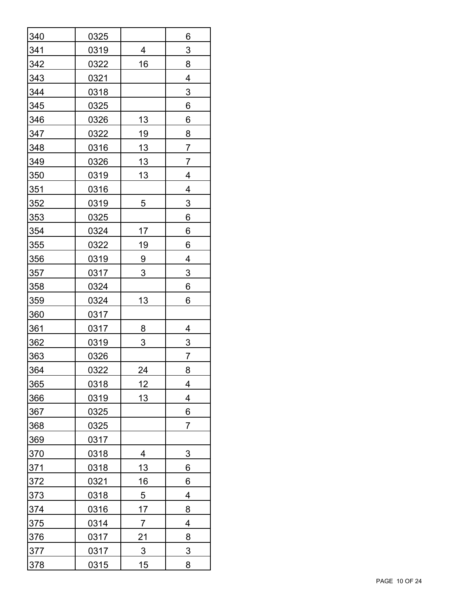| 340        | 0325        |                | 6              |
|------------|-------------|----------------|----------------|
| 341        | 0319        | 4              | 3              |
| 342        | 0322        | 16             | 8              |
| 343        | 0321        |                | 4              |
| 344        | 0318        |                | 3              |
| 345        | 0325        |                | 6              |
| 346        | 0326        | <u>13</u>      | 6              |
| 347        | 0322        | <u>19</u>      | 8              |
| 348        | 0316        | <u>13</u>      | $\overline{7}$ |
| 349        | 0326        | <u>13</u>      | $\overline{7}$ |
| 350        | 0319        | 13             | 4              |
| 351        | 0316        |                | 4              |
| 352        | 0319        | 5              | 3              |
| 353        | 0325        |                | 6              |
| 354        | 0324        | 17             | 6              |
| 355        | 0322        | <u> 19</u>     | 6              |
| 356        | 0319        | 9              | $\overline{4}$ |
| 357        | 0317        | 3              | 3              |
| 358        | 0324        |                | 6              |
| 359        | 0324        | 13             | 6              |
| 360        | 0317        |                |                |
| <u>361</u> | 0317        | 8              | 4              |
| 362        | 0319        | 3              | $\overline{3}$ |
| 363        | 0326        |                | 7              |
| 364        | 0322        | 24             | 8              |
| 365        | 0318        | 12             | 4              |
| 366        | 0319        | 13             | 4              |
| 367        | 0325        |                | 6              |
| 368        | 0325        |                | 7              |
| 369        | 0317        |                |                |
| 370        | 0318        | 4              | 3              |
| <u>371</u> | 0318        | <u>13</u>      | 6              |
| <u>372</u> | <u>0321</u> | <u>16</u>      | 6              |
| 373        | 0318        | $\overline{5}$ | 4              |
| 374        | 0316        | 17             | 8              |
| 375        | 0314        | 7              | 4              |
| 376        | 0317        | <u>21</u>      | 8              |
| 377        | 0317        | $\overline{3}$ | 3              |
| 378        | 0315        | 15             | 8              |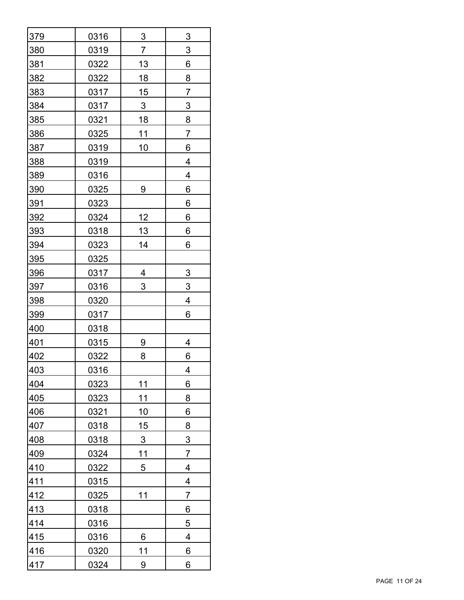| 379        | 0316 | $\overline{3}$ | $\overline{3}$            |
|------------|------|----------------|---------------------------|
| 380        | 0319 | $\overline{7}$ | $\ensuremath{\mathsf{3}}$ |
| 381        | 0322 | 13             | 6                         |
| 382        | 0322 | 18             | 8                         |
| 383        | 0317 | 15             | 7                         |
| 384        | 0317 | $\overline{3}$ | $\overline{3}$            |
| 385        | 0321 | 18             | $\overline{8}$            |
| 386        | 0325 | 11             | $\overline{7}$            |
| 387        | 0319 | 10             | 6                         |
| 388        | 0319 |                | 4                         |
| 389        | 0316 |                | 4                         |
| 390        | 0325 | 9              | 6                         |
| <u>391</u> | 0323 |                | 6                         |
| 392        | 0324 | 12             | 6                         |
| <u>393</u> | 0318 | <u> 13</u>     | 6                         |
| 394        | 0323 | 14             | 6                         |
| 395        | 0325 |                |                           |
| 396        | 0317 | 4              | $\overline{3}$            |
| 397        | 0316 | 3              | $\ensuremath{\mathsf{3}}$ |
| <u>398</u> | 0320 |                | 4                         |
| <u>399</u> | 0317 |                | 6                         |
| 400        | 0318 |                |                           |
| <u>401</u> | 0315 | 9              | 4                         |
| 402        | 0322 | 8              | 6                         |
| 403        | 0316 |                | 4                         |
| 404        | 0323 | 11             | 6                         |
| 405        | 0323 | 11             | 8                         |
| 406        | 0321 | 10             | 6                         |
| 407        | 0318 | 15             | 8                         |
| 408        | 0318 | 3              | 3                         |
| 409        | 0324 | 11             | $\overline{7}$            |
| 410        | 0322 | 5              | 4                         |
| 411        | 0315 |                | $\overline{4}$            |
| 412        | 0325 | 11             | 7                         |
| 413        | 0318 |                | 6                         |
| 414        | 0316 |                | 5                         |
| 415        | 0316 | 6              | 4                         |
| 416        | 0320 | 11             | 6                         |
| 417        | 0324 | 9              | 6                         |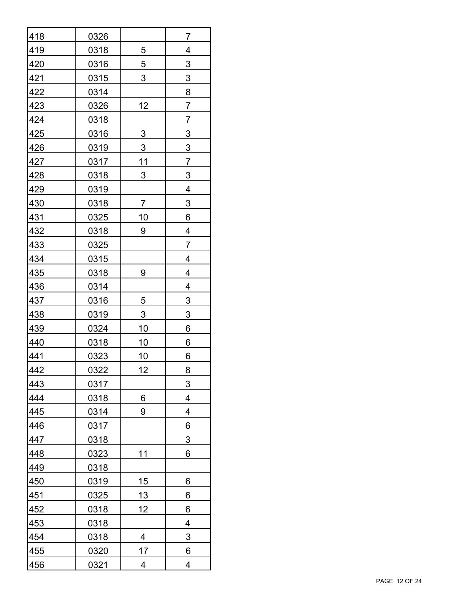| 418        | 0326        |                | $\overline{7}$            |
|------------|-------------|----------------|---------------------------|
| 419        | 0318        | 5              | 4                         |
| 420        | 0316        | 5              | $\ensuremath{\mathsf{3}}$ |
| 421        | 0315        | 3              | $\ensuremath{\mathsf{3}}$ |
| 422        | 0314        |                | 8                         |
| 423        | 0326        | 12             | $\overline{7}$            |
| 424        | 0318        |                | $\overline{7}$            |
| 425        | 0316        | $\overline{3}$ | $\overline{3}$            |
| 426        | 0319        | $\overline{3}$ | $\overline{3}$            |
| 427        | 0317        | <u>11</u>      | $\overline{7}$            |
| <u>428</u> | 0318        | 3              | 3                         |
| 429        | 0319        |                | 4                         |
| 430        | <u>0318</u> | $\overline{7}$ | $\overline{3}$            |
| 431        | 0325        | 10             | 6                         |
| 432        | 0318        | 9              | 4                         |
| 433        | 0325        |                | $\overline{7}$            |
| 434        | 0315        |                | $\overline{4}$            |
| 435        | 0318        | 9              | 4                         |
| 436        | 0314        |                | 4                         |
| 437        | 0316        | $\overline{5}$ | $\overline{3}$            |
| 438        | 0319        | $\overline{3}$ | $\overline{3}$            |
| 439        | 0324        | <u>10</u>      | 6                         |
| 440        | 0318        | <u> 10</u>     | 6                         |
| 441        | 0323        | <u>10</u>      | 6                         |
| 442        | 0322        | 12             | 8                         |
| 443        | 0317        |                | 3                         |
| 444        | 0318        | 6              | 4                         |
| 445        | 0314        | 9              | 4                         |
| 446        | 0317        |                | 6                         |
| 447        | 0318        |                | 3                         |
| 448        | 0323        | 11             | 6                         |
| 449        | 0318        |                |                           |
| 450        | 0319        | 15             | 6                         |
| 451        | 0325        | <u> 13 </u>    | 6                         |
| 452        | 0318        | 12             | 6                         |
| 453        | 0318        |                | 4                         |
| 454        | 0318        | 4              | 3                         |
| 455        | 0320        | 17             | 6                         |
| 456        | 0321        | 4              | 4                         |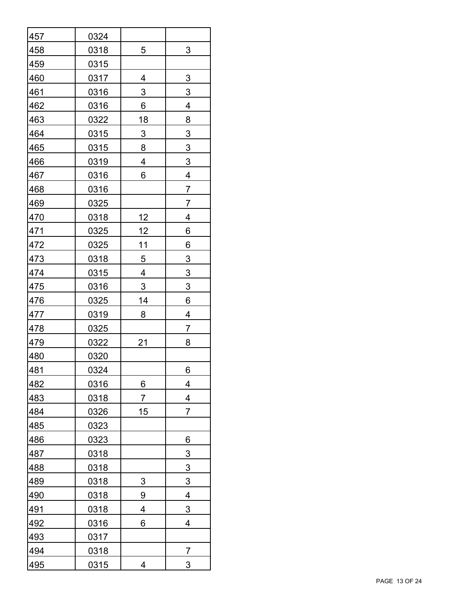| 457 | 0324        |                                           |                |  |  |
|-----|-------------|-------------------------------------------|----------------|--|--|
| 458 | 0318        | 5<br>3                                    |                |  |  |
| 459 | 0315        |                                           |                |  |  |
| 460 | 0317        | $\ensuremath{\mathsf{3}}$<br>4            |                |  |  |
| 461 | 0316        | 3<br>3                                    |                |  |  |
| 462 | 0316        | 4<br>6                                    |                |  |  |
| 463 | 0322        | 18                                        | 8              |  |  |
| 464 | 0315        | $\overline{3}$<br>$\overline{3}$          |                |  |  |
| 465 | 0315        | $\overline{3}$<br>8                       |                |  |  |
| 466 | 0319        | 4                                         | $\overline{3}$ |  |  |
| 467 | 0316        | 6                                         | 4              |  |  |
| 468 | 0316        |                                           | $\overline{7}$ |  |  |
| 469 | 0325        |                                           | 7              |  |  |
| 470 | 0318        | 12                                        | 4              |  |  |
| 471 | <u>0325</u> | 12                                        | 6              |  |  |
| 472 | 0325        | <u>11</u>                                 | 6              |  |  |
| 473 | 0318        | $\overline{5}$<br>$\overline{3}$          |                |  |  |
| 474 | 0315        | $\overline{3}$<br>$\overline{\mathbf{4}}$ |                |  |  |
| 475 | 0316        | $\overline{3}$                            | $\overline{3}$ |  |  |
| 476 | 0325        | 14<br>6                                   |                |  |  |
| 477 | 0319        | 8                                         | 4              |  |  |
| 478 | 0325        | $\overline{7}$                            |                |  |  |
| 479 | 0322        | 21<br>8                                   |                |  |  |
| 480 | 0320        |                                           |                |  |  |
| 481 | 0324        |                                           | 6              |  |  |
| 482 | 0316        | $6 \overline{}$<br>4                      |                |  |  |
| 483 | 0318        | $\overline{7}$                            | 4              |  |  |
| 484 | 0326        | 15                                        | 7              |  |  |
| 485 | 0323        |                                           |                |  |  |
| 486 | 0323        |                                           | 6              |  |  |
| 487 | 0318        |                                           | 3              |  |  |
| 488 | 0318        |                                           | $\overline{3}$ |  |  |
| 489 | 0318        | $\overline{3}$                            | $\overline{3}$ |  |  |
| 490 | 0318        | 9                                         | 4              |  |  |
| 491 | 0318        | 4                                         | $\overline{3}$ |  |  |
| 492 | 0316        | 6                                         | 4              |  |  |
| 493 | 0317        |                                           |                |  |  |
| 494 | 0318        |                                           | 7              |  |  |
| 495 | 0315        | 4                                         | 3              |  |  |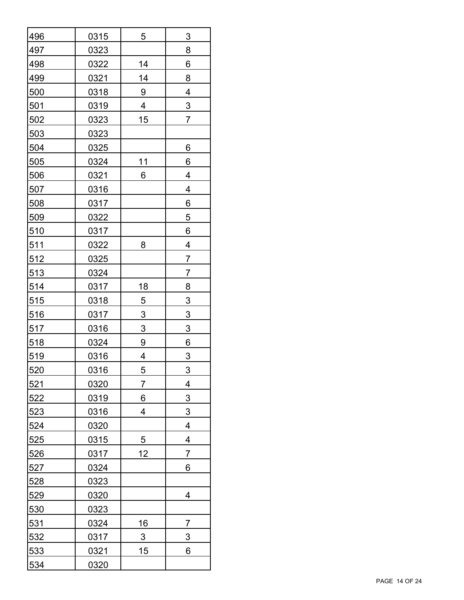| 496        | 0315        | 5              | 3                       |  |  |
|------------|-------------|----------------|-------------------------|--|--|
| 497        | 0323        | 8              |                         |  |  |
| 498        | 0322        | 14<br>6        |                         |  |  |
| 499        | 0321        | 8<br>14        |                         |  |  |
| 500        | 0318        | 4<br>9         |                         |  |  |
| 501        | 0319        | 4              | $\overline{3}$          |  |  |
| 502        | 0323        | 15             | $\overline{7}$          |  |  |
| 503        | 0323        |                |                         |  |  |
| 504        | 0325        |                | 6                       |  |  |
| 505        | 0324        | 11             | 6                       |  |  |
| 506        | 0321        | 6              | 4                       |  |  |
| 507        | 0316        |                | 4                       |  |  |
| 508        | <u>0317</u> |                | 6                       |  |  |
| 509        | 0322        |                | 5                       |  |  |
| <u>510</u> | 0317        |                | 6                       |  |  |
| <u>511</u> | <u>0322</u> | 8              | 4                       |  |  |
| <u>512</u> | 0325        | $\overline{7}$ |                         |  |  |
| <u>513</u> | 0324        |                | 7                       |  |  |
| 514        | 0317        | <u>18</u>      | 8                       |  |  |
| 515        | 0318        | $\overline{5}$ | $\overline{3}$          |  |  |
| 516        | 0317        | $\overline{3}$ | $\overline{3}$          |  |  |
| 517        | 0316        | $\overline{3}$ | $\overline{3}$          |  |  |
| 518        | 0324        | 9<br>6         |                         |  |  |
| 519        | 0316        | 4<br>3         |                         |  |  |
| 520        | 0316        | 5              | 3                       |  |  |
| 521        | 0320        | 7              | 4                       |  |  |
| 522        | 0319        | 6              | 3                       |  |  |
| 523        | 0316        | 4              | 3                       |  |  |
| 524        | 0320        |                | $\overline{\mathbf{4}}$ |  |  |
| 525        | 0315        | 5              | $\overline{\mathbf{4}}$ |  |  |
| 526        | 0317        | 12             | 7                       |  |  |
| 527        | 0324        |                | 6                       |  |  |
| 528        | 0323        |                |                         |  |  |
| 529        | 0320        |                | 4                       |  |  |
| <u>530</u> | 0323        |                |                         |  |  |
| 531        | 0324        | <u>16</u>      | $\overline{7}$          |  |  |
| 532        | 0317        | $\overline{3}$ | 3                       |  |  |
| 533        | 0321        | 15             | 6                       |  |  |
| 534        | 0320        |                |                         |  |  |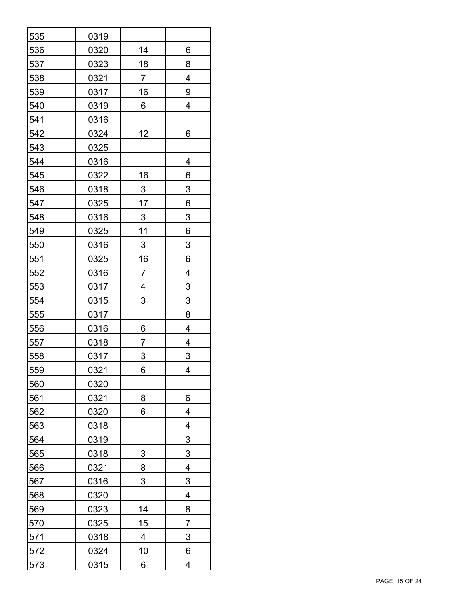| 535        | 0319        |                     |                           |  |  |
|------------|-------------|---------------------|---------------------------|--|--|
| 536        | 0320        | 14                  | 6                         |  |  |
| 537        | 0323        | 18<br>8             |                           |  |  |
| 538        | 0321        | 4<br>$\overline{7}$ |                           |  |  |
| 539        | 0317        | 16<br>9             |                           |  |  |
| 540        | 0319        | 6                   | 4                         |  |  |
| 541        | 0316        |                     |                           |  |  |
| 542        | 0324        | 12                  | 6                         |  |  |
| 543        | 0325        |                     |                           |  |  |
| 544        | 0316        |                     | 4                         |  |  |
| 545        | 0322        | 16                  | 6                         |  |  |
| 546        | 0318        | $\overline{3}$      | 3                         |  |  |
| 547        | 0325        | 17                  | 6                         |  |  |
| 548        | 0316        | $\overline{3}$      | $\overline{3}$            |  |  |
| 549        | 0325        | <u>11</u>           | 6                         |  |  |
| 550        | 0316        | $\overline{3}$      | $\overline{3}$            |  |  |
| 551        | <u>0325</u> | <u>16</u><br>6      |                           |  |  |
| 552        | 0316        | 7<br>4              |                           |  |  |
| 553        | 0317        | 4                   | $\overline{3}$            |  |  |
| 554        | 0315        | 3                   | $\ensuremath{\mathsf{3}}$ |  |  |
| 555        | 0317        |                     | 8                         |  |  |
| 556        | 0316        | 6                   | 4                         |  |  |
| 557        | 0318        | 7<br>4              |                           |  |  |
| 558        | 0317        | 3<br>3              |                           |  |  |
| 559        | 0321        | 6<br>4              |                           |  |  |
| 560        | 0320        |                     |                           |  |  |
| 561        | 0321        | 8                   | 6                         |  |  |
| 562        | 0320        | 6                   | 4                         |  |  |
| 563        | 0318        |                     | 4                         |  |  |
| 564        | 0319        |                     | $\overline{3}$            |  |  |
| 565        | 0318        | 3                   | 3                         |  |  |
| 566        | 0321        | 8                   | 4                         |  |  |
| <u>567</u> | 0316        | 3                   | $\overline{3}$            |  |  |
| 568        | 0320        |                     | 4                         |  |  |
| 569        | 0323        | 14                  | 8                         |  |  |
| 570        | 0325        | 15                  | 7                         |  |  |
| 571        | 0318        | 4                   | 3                         |  |  |
| 572        | 0324        | <u>10</u>           | 6                         |  |  |
| 573        | 0315        | 6                   | 4                         |  |  |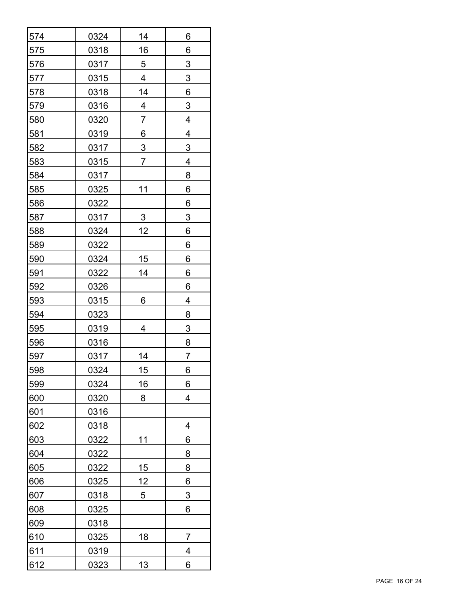| 574        | 0324 | 14                             | 6              |  |  |
|------------|------|--------------------------------|----------------|--|--|
| 575        | 0318 | 16                             | 6              |  |  |
| 576        | 0317 | 3<br>5                         |                |  |  |
| 577        | 0315 | 4<br>$\ensuremath{\mathsf{3}}$ |                |  |  |
| 578        | 0318 | 14<br>6                        |                |  |  |
| 579        | 0316 | 4                              | 3              |  |  |
| 580        | 0320 | $\overline{7}$                 | 4              |  |  |
| 581        | 0319 | 6                              | 4              |  |  |
| 582        | 0317 | $\overline{3}$                 | $\overline{3}$ |  |  |
| 583        | 0315 | $\overline{7}$                 | 4              |  |  |
| 584        | 0317 |                                | 8              |  |  |
| 585        | 0325 | 11                             | 6              |  |  |
| 586        | 0322 |                                | 6              |  |  |
| 587        | 0317 | $\overline{3}$                 | $\overline{3}$ |  |  |
| 588        | 0324 | 12                             | 6              |  |  |
| 589        | 0322 |                                | 6              |  |  |
| 590        | 0324 | 15                             | 6              |  |  |
| 591        | 0322 | 14                             | 6              |  |  |
| 592        | 0326 |                                | 6              |  |  |
| 593        | 0315 | 6                              | 4              |  |  |
| <u>594</u> | 0323 |                                | 8              |  |  |
| 595        | 0319 | 4                              | $\overline{3}$ |  |  |
| 596        | 0316 |                                | $\overline{8}$ |  |  |
| 597        | 0317 | 14                             | $\overline{7}$ |  |  |
| 598        | 0324 | 15                             | 6              |  |  |
| 599        | 0324 | 16                             | 6              |  |  |
| 600        | 0320 | 8                              | 4              |  |  |
| 601        | 0316 |                                |                |  |  |
| 602        | 0318 |                                | 4              |  |  |
| 603        | 0322 | 11                             | 6              |  |  |
| 604        | 0322 |                                | 8              |  |  |
| 605        | 0322 | 15                             | 8              |  |  |
| 606        | 0325 | <u> 12</u>                     | 6              |  |  |
| 607        | 0318 | 5                              | $\overline{3}$ |  |  |
| 608        | 0325 |                                | 6              |  |  |
| 609        | 0318 |                                |                |  |  |
| 610        | 0325 | <u>18</u>                      | $\overline{7}$ |  |  |
| 611        | 0319 |                                | 4              |  |  |
| 612        | 0323 | <u>13</u>                      | 6              |  |  |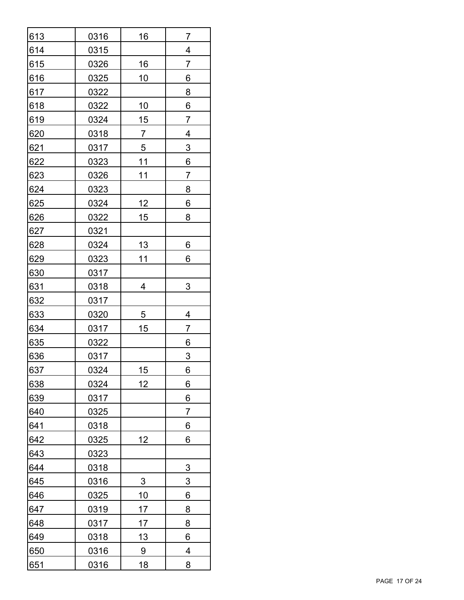| 613        | 0316 | 16             | 7                       |  |  |
|------------|------|----------------|-------------------------|--|--|
| 614        | 0315 | 4              |                         |  |  |
| 615        | 0326 | 16             | 7                       |  |  |
| 616        | 0325 | 10             | 6                       |  |  |
| 617        | 0322 |                | 8                       |  |  |
| 618        | 0322 | 10             | 6                       |  |  |
| <u>619</u> | 0324 | 15             | $\overline{7}$          |  |  |
| 620        | 0318 | $\overline{7}$ | $\overline{\mathbf{4}}$ |  |  |
| 621        | 0317 | $\overline{5}$ | $\overline{3}$          |  |  |
| 622        | 0323 | <u>11</u>      | 6                       |  |  |
| 623        | 0326 | 11             | $\overline{7}$          |  |  |
| 624        | 0323 |                | 8                       |  |  |
| <u>625</u> | 0324 | <u>12</u>      | 6                       |  |  |
| <u>626</u> | 0322 | 15             | 8                       |  |  |
| <u>627</u> | 0321 |                |                         |  |  |
| 628        | 0324 | <u>13</u>      | 6                       |  |  |
| 629        | 0323 | 11             | 6                       |  |  |
| 630        | 0317 |                |                         |  |  |
| 631        | 0318 | 4              | 3                       |  |  |
| 632        | 0317 |                |                         |  |  |
| 633        | 0320 | 5              | 4                       |  |  |
| 634        | 0317 | 15             | 7                       |  |  |
| 635        | 0322 |                | 6                       |  |  |
| 636        | 0317 |                | 3                       |  |  |
| 637        | 0324 | 15             | 6                       |  |  |
| 638        | 0324 | 12             | 6                       |  |  |
| 639        | 0317 |                | 6                       |  |  |
| 640        | 0325 |                | 7                       |  |  |
| 641        | 0318 |                | 6                       |  |  |
| 642        | 0325 | 12             | 6                       |  |  |
| 643        | 0323 |                |                         |  |  |
| 644        | 0318 |                | $\overline{3}$          |  |  |
| 645        | 0316 | $\overline{3}$ | $\overline{3}$          |  |  |
| 646        | 0325 | <u>10</u>      | 6                       |  |  |
| 647        | 0319 | <u> 17</u>     | 8                       |  |  |
| 648        | 0317 | 17             | 8                       |  |  |
| 649        | 0318 | 13             | 6                       |  |  |
| 650        | 0316 | $\overline{9}$ | 4                       |  |  |
| 651        | 0316 | <u>18</u>      | 8                       |  |  |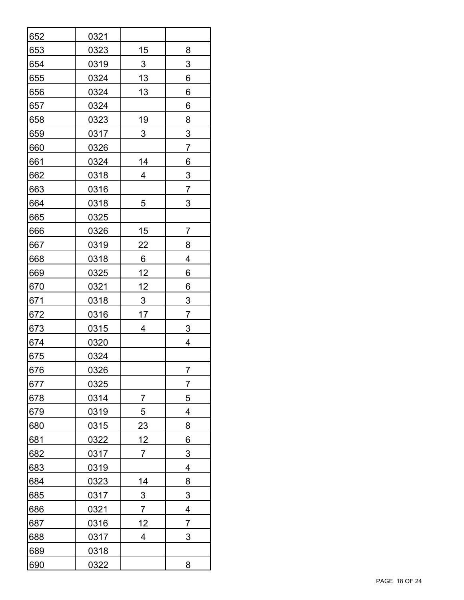| 652        | 0321        |                     |                |  |  |
|------------|-------------|---------------------|----------------|--|--|
| 653        | 0323        | 15                  | 8              |  |  |
| 654        | 0319        | $\mathfrak{S}$<br>3 |                |  |  |
| 655        | 0324        | 13<br>6             |                |  |  |
| 656        | 0324        | 13<br>6             |                |  |  |
| 657        | 0324        | 6                   |                |  |  |
| 658        | 0323        | <u>19</u>           | 8              |  |  |
| 659        | 0317        | 3                   | $\overline{3}$ |  |  |
| 660        | 0326        |                     | $\overline{7}$ |  |  |
| 661        | 0324        | 14                  | 6              |  |  |
| 662        | 0318        | 4                   | $\overline{3}$ |  |  |
| 663        | 0316        |                     | 7              |  |  |
| 664        | 0318        | 5                   | 3              |  |  |
| 665        | 0325        |                     |                |  |  |
| 666        | 0326        | <u>15</u>           | 7              |  |  |
| 667        | 0319        | <u>22</u>           | 8              |  |  |
| 668        | 0318        | 6<br>4              |                |  |  |
| 669        | 0325        | <u>12</u><br>6      |                |  |  |
| 670        | 0321        | <u>12</u>           | 6              |  |  |
| 671        | 0318        | $\overline{3}$      | $\overline{3}$ |  |  |
| 672        | 0316        | 17                  | 7              |  |  |
| 673        | <u>0315</u> | 4                   | $\overline{3}$ |  |  |
| 674        | 0320        |                     | 4              |  |  |
| 675        | 0324        |                     |                |  |  |
| 676        | 0326        |                     | $\overline{7}$ |  |  |
| 677        | 0325        |                     | $\overline{7}$ |  |  |
| 678        | 0314        | 7                   | 5              |  |  |
| 679        | 0319        | 5                   | 4              |  |  |
| 680        | 0315        | 23                  | 8              |  |  |
| 681        | 0322        | 12                  | 6              |  |  |
| 682        | 0317        | 7                   | 3              |  |  |
| 683        | 0319        |                     | 4              |  |  |
| <u>684</u> | 0323        | <u>14</u>           | 8              |  |  |
| 685        | 0317        | $\overline{3}$      | $\overline{3}$ |  |  |
| 686        | 0321        | 7                   | 4              |  |  |
| 687        | 0316        | 12                  | $\overline{7}$ |  |  |
| 688        | 0317        | 4                   | 3              |  |  |
| 689        | 0318        |                     |                |  |  |
| 690        | 0322        |                     | 8              |  |  |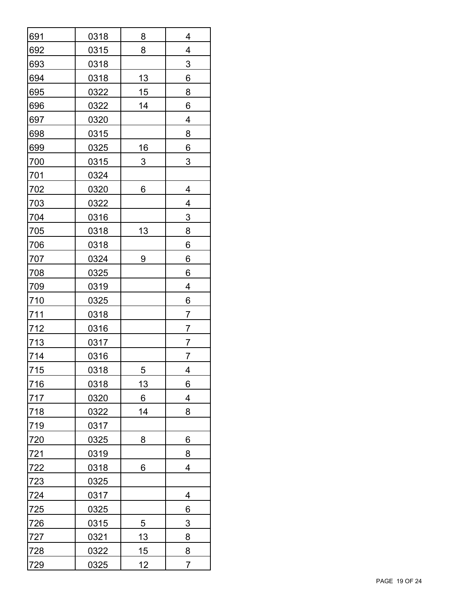| 691        | 0318        | 8<br>4         |   |  |  |
|------------|-------------|----------------|---|--|--|
| 692        | 0315        | 4<br>8         |   |  |  |
| 693        | 0318        | 3              |   |  |  |
| 694        | 0318        | 13<br>6        |   |  |  |
| 695        | 0322        | 15<br>8        |   |  |  |
| 696        | 0322        | 14             | 6 |  |  |
| 697        | 0320        |                | 4 |  |  |
| 698        | 0315        |                | 8 |  |  |
| <u>699</u> | 0325        | 16             | 6 |  |  |
| 700        | 0315        | 3              | 3 |  |  |
| 701        | 0324        |                |   |  |  |
| 702        | 0320        | 6              | 4 |  |  |
| 703        | 0322        |                | 4 |  |  |
| 704        | 0316        |                | 3 |  |  |
| 705        | <u>0318</u> | 13             | 8 |  |  |
| <u>706</u> | 0318        |                | 6 |  |  |
| <u>707</u> | 0324        | 6<br>9         |   |  |  |
| 708        | 0325        | 6              |   |  |  |
| 709        | 0319        |                | 4 |  |  |
| <u>710</u> | 0325        |                | 6 |  |  |
| <u>711</u> | 0318        |                | 7 |  |  |
| 712        | 0316        | $\overline{7}$ |   |  |  |
| <u>713</u> | 0317        | 7              |   |  |  |
| 714        | 0316        |                | 7 |  |  |
| 715        | 0318        | $\overline{5}$ | 4 |  |  |
| 716        | 0318        | 13             | 6 |  |  |
| 717        | 0320        | 6              | 4 |  |  |
| 718        | 0322        | 14             | 8 |  |  |
| 719        | 0317        |                |   |  |  |
| 720        | 0325        | 8              | 6 |  |  |
| <u>721</u> | 0319        |                | 8 |  |  |
| 722        | 0318        | 6              | 4 |  |  |
| <u>723</u> | 0325        |                |   |  |  |
| 724        | 0317        |                | 4 |  |  |
| <u>725</u> | 0325        |                | 6 |  |  |
| <u>726</u> | 0315        | $\overline{5}$ | 3 |  |  |
| <u>727</u> | 0321        | <u> 13</u>     | 8 |  |  |
| 728        | 0322        | 15             | 8 |  |  |
| 729        | 0325        | 12<br>7        |   |  |  |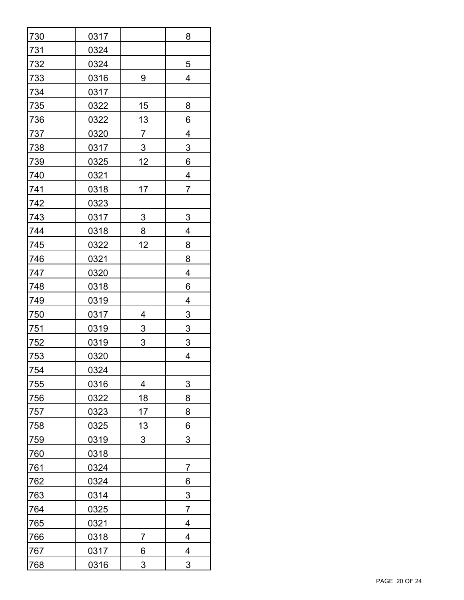| 730        | 0317        | 8                                |                         |  |  |
|------------|-------------|----------------------------------|-------------------------|--|--|
| 731        | 0324        |                                  |                         |  |  |
| 732        | 0324        | 5                                |                         |  |  |
| 733        | 0316        | 9                                | 4                       |  |  |
| 734        | 0317        |                                  |                         |  |  |
| 735        | 0322        | 15                               | 8                       |  |  |
| <b>736</b> | 0322        | <u>13</u>                        | 6                       |  |  |
| <u>737</u> | 0320        | $\overline{7}$                   | $\overline{\mathbf{4}}$ |  |  |
| <u>738</u> | 0317        | $\overline{3}$<br>$\overline{3}$ |                         |  |  |
| <u>739</u> | 0325        | 12                               | 6                       |  |  |
| 740        | 0321        |                                  | 4                       |  |  |
| 741        | 0318        | 17                               | $\overline{7}$          |  |  |
| 742        | 0323        |                                  |                         |  |  |
| 743        | 0317        | <u>3</u>                         | $\overline{3}$          |  |  |
| <u>744</u> | 0318        | 8                                | 4                       |  |  |
| <u>745</u> | 0322        | 12                               | 8                       |  |  |
| <u>746</u> | <u>0321</u> | 8                                |                         |  |  |
| 747        | 0320        | 4                                |                         |  |  |
| 748        | 0318        |                                  | 6                       |  |  |
| 749        | 0319        |                                  | 4                       |  |  |
| 750        | 0317        | 4                                | $\overline{3}$          |  |  |
| 751        | 0319        | $\overline{3}$                   | $\overline{3}$          |  |  |
| 752        | 0319        | 3                                | $\overline{3}$          |  |  |
| 753        | 0320        |                                  | 4                       |  |  |
| 754        | 0324        |                                  |                         |  |  |
| 755        | 0316        | 4                                | 3                       |  |  |
| 756        | 0322        | 18                               | 8                       |  |  |
| 757        | 0323        | 17                               | 8                       |  |  |
| 758        | 0325        | 13                               | 6                       |  |  |
| 759        | 0319        | 3                                | 3                       |  |  |
| 760        | 0318        |                                  |                         |  |  |
| 761        | 0324        |                                  | $\overline{7}$          |  |  |
| <u>762</u> | 0324        |                                  | $6 \overline{}$         |  |  |
| <u>763</u> | 0314        |                                  | $\overline{3}$          |  |  |
| 764        | 0325        |                                  | 7                       |  |  |
| 765        | 0321        |                                  | 4                       |  |  |
| 766        | 0318        | 7                                | 4                       |  |  |
| 767        | 0317        | 6                                | 4                       |  |  |
| 768        | 0316        | 3                                | 3                       |  |  |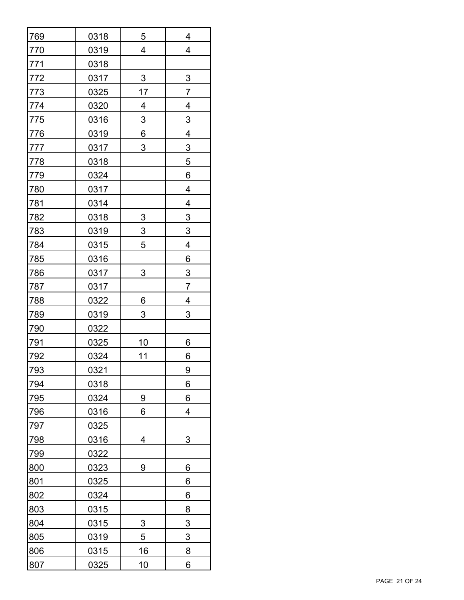| 769        | 0318        | 5                                                  | 4                       |  |  |
|------------|-------------|----------------------------------------------------|-------------------------|--|--|
| 770        | 0319        | $\overline{\mathbf{4}}$<br>$\overline{\mathbf{4}}$ |                         |  |  |
| 771        | 0318        |                                                    |                         |  |  |
| 772        | 0317        | $\ensuremath{\mathsf{3}}$<br>$\overline{3}$        |                         |  |  |
| 773        | 0325        | 17<br>$\overline{7}$                               |                         |  |  |
| 774        | 0320        | 4<br>4                                             |                         |  |  |
| <u>775</u> | 0316        | $\overline{3}$                                     | $\overline{3}$          |  |  |
| <u>776</u> | 0319        | $6 \overline{}$                                    | $\overline{4}$          |  |  |
| <u>777</u> | 0317        | $\overline{3}$<br>3                                |                         |  |  |
| <u>778</u> | 0318        |                                                    | 5                       |  |  |
| <u>779</u> | 0324        |                                                    | 6                       |  |  |
| 780        | 0317        |                                                    | $\overline{\mathbf{4}}$ |  |  |
| <u>781</u> | 0314        |                                                    | 4                       |  |  |
| 782        | 0318        | $\overline{3}$                                     | $\overline{3}$          |  |  |
| <u>783</u> | 0319        | $\overline{3}$                                     | $\overline{3}$          |  |  |
| 784        | 0315        | 5                                                  | 4                       |  |  |
| <u>785</u> | 0316        | $6\phantom{1}$                                     |                         |  |  |
| 786        | 0317        | 3<br>$\overline{3}$                                |                         |  |  |
| 787        | 0317        |                                                    | $\overline{7}$          |  |  |
| 788        | 0322        | 6                                                  | 4                       |  |  |
| <u>789</u> | 0319        | 3                                                  | 3                       |  |  |
| 790        | <u>0322</u> |                                                    |                         |  |  |
| <u>791</u> | 0325        | <u>10</u>                                          | 6                       |  |  |
| 792        | 0324        | 11                                                 | 6                       |  |  |
| 793        | 0321        |                                                    | 9                       |  |  |
| 794        | 0318        |                                                    | 6                       |  |  |
| 795        | 0324        | 9                                                  | 6                       |  |  |
| 796        | 0316        | 6                                                  | $\overline{\mathbf{4}}$ |  |  |
| 797        | 0325        |                                                    |                         |  |  |
| 798        | 0316        | 4                                                  | 3                       |  |  |
| 799        | 0322        |                                                    |                         |  |  |
| 800        | 0323        | 9                                                  | 6                       |  |  |
| 801        | 0325        |                                                    | 6                       |  |  |
| 802        | 0324        |                                                    | 6                       |  |  |
| 803        | 0315        |                                                    | 8                       |  |  |
| 804        | 0315        | 3                                                  | 3                       |  |  |
| 805        | 0319        | 5                                                  | 3                       |  |  |
| 806        | <u>0315</u> | <u>16</u>                                          | 8                       |  |  |
| 807        | 0325        | <u>10</u><br>6                                     |                         |  |  |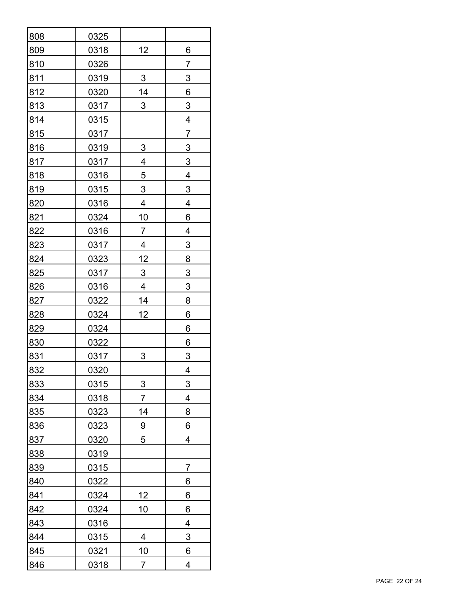| 808        | 0325 |                                  |                         |  |  |
|------------|------|----------------------------------|-------------------------|--|--|
| 809        | 0318 | 6<br>12                          |                         |  |  |
| 810        | 0326 | 7                                |                         |  |  |
| 811        | 0319 | $\sqrt{3}$<br>$\sqrt{3}$         |                         |  |  |
| 812        | 0320 | 14<br>6                          |                         |  |  |
| 813        | 0317 | 3<br>3                           |                         |  |  |
| 814        | 0315 |                                  | 4                       |  |  |
| 815        | 0317 | $\overline{7}$                   |                         |  |  |
| <u>816</u> | 0319 | $\overline{3}$                   | $\overline{3}$          |  |  |
| 817        | 0317 | $\overline{\mathbf{4}}$          | $\overline{3}$          |  |  |
| 818        | 0316 | $\overline{5}$                   | 4                       |  |  |
| 819        | 0315 | 3                                | 3                       |  |  |
| 820        | 0316 | $\overline{\mathbf{4}}$          | $\overline{\mathbf{4}}$ |  |  |
| 821        | 0324 | <u>10</u>                        | 6                       |  |  |
| 822        | 0316 | $\overline{7}$                   | 4                       |  |  |
| 823        | 0317 | 4<br>$\overline{3}$              |                         |  |  |
| 824        | 0323 | $\overline{8}$<br><u>12</u>      |                         |  |  |
| 825        | 0317 | $\overline{3}$<br>$\overline{3}$ |                         |  |  |
| 826        | 0316 | $\overline{\mathbf{4}}$          | $\overline{3}$          |  |  |
| 827        | 0322 | 14<br>8                          |                         |  |  |
| 828        | 0324 | 12                               | 6                       |  |  |
| 829        | 0324 | 6                                |                         |  |  |
| 830        | 0322 | 6                                |                         |  |  |
| 831        | 0317 | 3<br>3                           |                         |  |  |
| 832        | 0320 |                                  | 4                       |  |  |
| 833        | 0315 | $\overline{3}$                   | 3                       |  |  |
| 834        | 0318 | $\overline{7}$                   | 4                       |  |  |
| 835        | 0323 | 14                               | 8                       |  |  |
| 836        | 0323 | 9                                | 6                       |  |  |
| 837        | 0320 | 5                                | 4                       |  |  |
| 838        | 0319 |                                  |                         |  |  |
| 839        | 0315 |                                  | $\overline{7}$          |  |  |
| 840        | 0322 |                                  | 6                       |  |  |
| 841        | 0324 | <u>12</u>                        | 6                       |  |  |
| 842        | 0324 | <u>10</u>                        | 6                       |  |  |
| 843        | 0316 |                                  | 4                       |  |  |
| 844        | 0315 | 4                                | 3                       |  |  |
| 845        | 0321 | 10                               | 6                       |  |  |
| 846        | 0318 | 7                                | 4                       |  |  |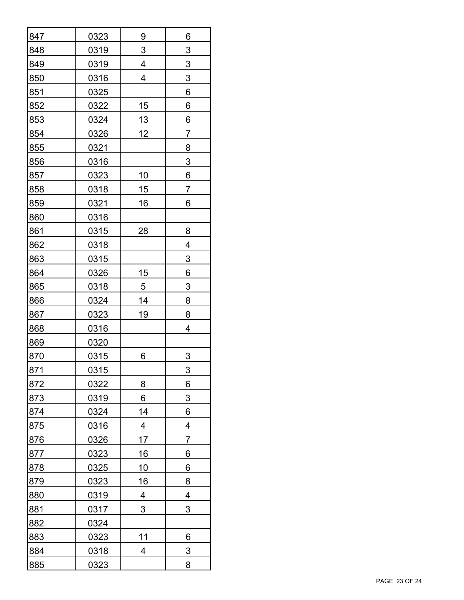| 847        | 0323 | 9<br>6                         |                |  |  |
|------------|------|--------------------------------|----------------|--|--|
| 848        | 0319 | 3<br>3                         |                |  |  |
| 849        | 0319 | 4<br>$\ensuremath{\mathsf{3}}$ |                |  |  |
| 850        | 0316 | 4<br>$\sqrt{3}$                |                |  |  |
| 851        | 0325 | 6                              |                |  |  |
| 852        | 0322 | 15                             | 6              |  |  |
| 853        | 0324 | <u>13</u>                      | 6              |  |  |
| 854        | 0326 | 12                             | $\overline{7}$ |  |  |
| 855        | 0321 |                                | 8              |  |  |
| 856        | 0316 |                                | $\sqrt{3}$     |  |  |
| 857        | 0323 | 10                             | 6              |  |  |
| 858        | 0318 | 15                             | 7              |  |  |
| 859        | 0321 | 16                             | 6              |  |  |
| 860        | 0316 |                                |                |  |  |
| 861        | 0315 | 28                             | 8              |  |  |
| 862        | 0318 |                                | 4              |  |  |
| 863        | 0315 | $\overline{3}$                 |                |  |  |
| 864        | 0326 | 6<br>15                        |                |  |  |
| 865        | 0318 | 5                              | 3              |  |  |
| 866        | 0324 | 14<br>8                        |                |  |  |
| 867        | 0323 | 19                             | 8              |  |  |
| 868        | 0316 |                                | 4              |  |  |
| 869        | 0320 |                                |                |  |  |
| 870        | 0315 | 3<br>6                         |                |  |  |
| 871        | 0315 |                                | 3              |  |  |
| 872        | 0322 | 8                              | 6              |  |  |
| 873        | 0319 | 6                              | 3              |  |  |
| 874        | 0324 | 14                             | 6              |  |  |
| 875        | 0316 | 4                              | 4              |  |  |
| 876        | 0326 | 17                             | 7              |  |  |
| 877        | 0323 | 16                             | 6              |  |  |
| 878        | 0325 | 10                             | 6              |  |  |
| <u>879</u> | 0323 | 16                             | 8              |  |  |
| 880        | 0319 | 4                              | 4              |  |  |
| 881        | 0317 | 3                              | 3              |  |  |
| 882        | 0324 |                                |                |  |  |
| 883        | 0323 | 11                             | 6              |  |  |
| 884        | 0318 | 4                              | $\overline{3}$ |  |  |
| 885        | 0323 |                                | 8              |  |  |